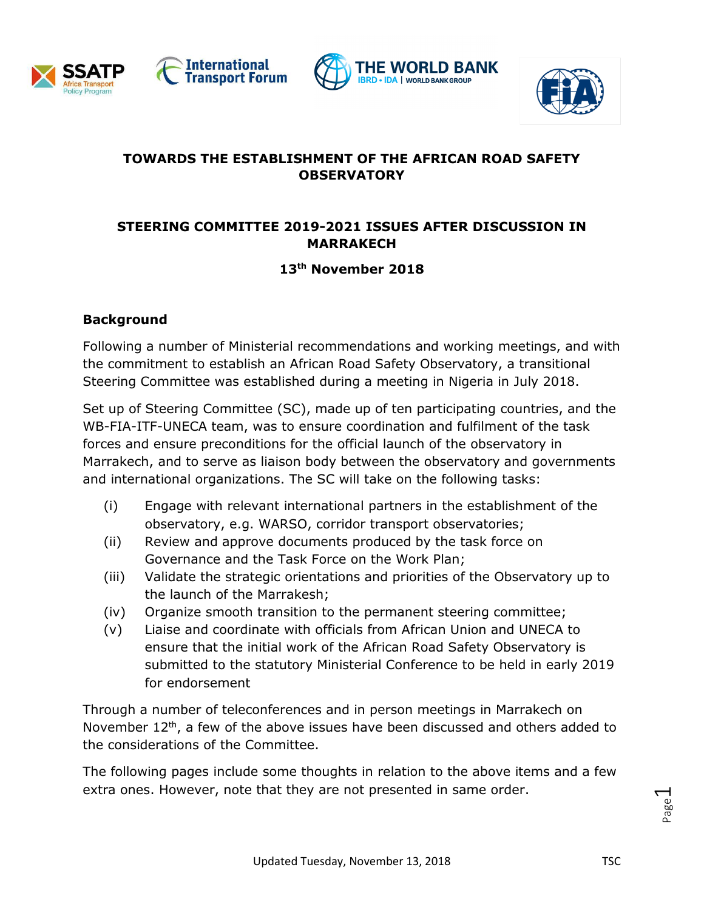







# **TOWARDS THE ESTABLISHMENT OF THE AFRICAN ROAD SAFETY OBSERVATORY**

## **STEERING COMMITTEE 2019-2021 ISSUES AFTER DISCUSSION IN MARRAKECH**

## **13th November 2018**

### **Background**

Following a number of Ministerial recommendations and working meetings, and with the commitment to establish an African Road Safety Observatory, a transitional Steering Committee was established during a meeting in Nigeria in July 2018.

Set up of Steering Committee (SC), made up of ten participating countries, and the WB-FIA-ITF-UNECA team, was to ensure coordination and fulfilment of the task forces and ensure preconditions for the official launch of the observatory in Marrakech, and to serve as liaison body between the observatory and governments and international organizations. The SC will take on the following tasks:

- (i) Engage with relevant international partners in the establishment of the observatory, e.g. WARSO, corridor transport observatories;
- (ii) Review and approve documents produced by the task force on Governance and the Task Force on the Work Plan;
- (iii) Validate the strategic orientations and priorities of the Observatory up to the launch of the Marrakesh;
- (iv) Organize smooth transition to the permanent steering committee;
- (v) Liaise and coordinate with officials from African Union and UNECA to ensure that the initial work of the African Road Safety Observatory is submitted to the statutory Ministerial Conference to be held in early 2019 for endorsement

Through a number of teleconferences and in person meetings in Marrakech on November 12<sup>th</sup>, a few of the above issues have been discussed and others added to the considerations of the Committee.

The following pages include some thoughts in relation to the above items and a few extra ones. However, note that they are not presented in same order.

Page  $\overline{\phantom{0}}$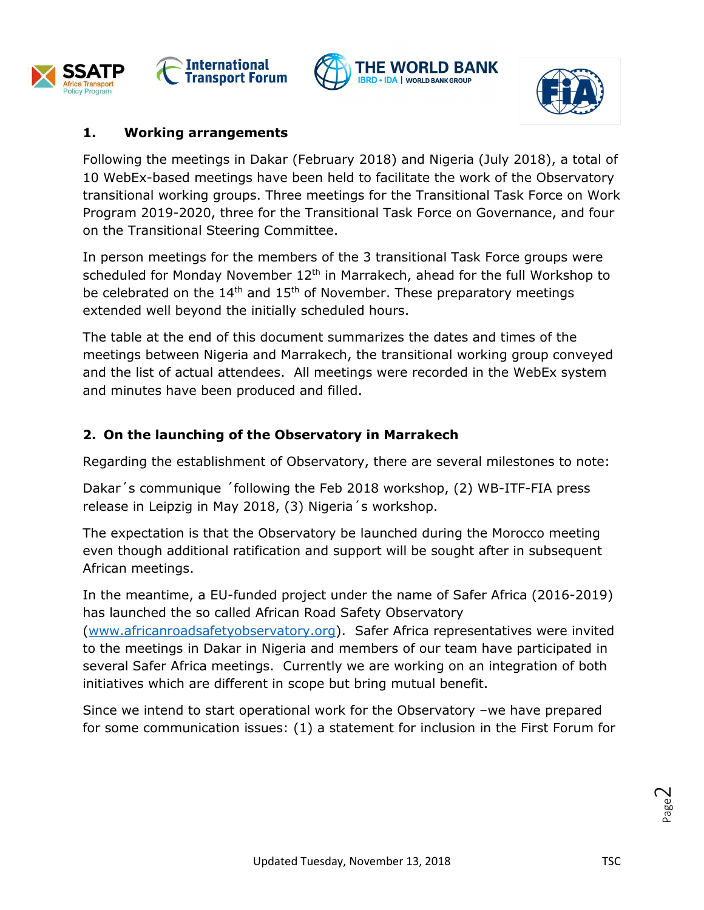







### **1. Working arrangements**

Following the meetings in Dakar (February 2018) and Nigeria (July 2018), a total of 10 WebEx-based meetings have been held to facilitate the work of the Observatory transitional working groups. Three meetings for the Transitional Task Force on Work Program 2019-2020, three for the Transitional Task Force on Governance, and four on the Transitional Steering Committee.

In person meetings for the members of the 3 transitional Task Force groups were scheduled for Monday November  $12<sup>th</sup>$  in Marrakech, ahead for the full Workshop to be celebrated on the  $14<sup>th</sup>$  and  $15<sup>th</sup>$  of November. These preparatory meetings extended well beyond the initially scheduled hours.

The table at the end of this document summarizes the dates and times of the meetings between Nigeria and Marrakech, the transitional working group conveyed and the list of actual attendees. All meetings were recorded in the WebEx system and minutes have been produced and filled.

## **2. On the launching of the Observatory in Marrakech**

Regarding the establishment of Observatory, there are several milestones to note:

Dakar´s communique ´following the Feb 2018 workshop, (2) WB-ITF-FIA press release in Leipzig in May 2018, (3) Nigeria´s workshop.

The expectation is that the Observatory be launched during the Morocco meeting even though additional ratification and support will be sought after in subsequent African meetings.

In the meantime, a EU-funded project under the name of Safer Africa (2016-2019) has launched the so called African Road Safety Observatory [\(www.africanroadsafetyobservatory.org\)](http://www.africanroadsafetyobservatory.org/). Safer Africa representatives were invited to the meetings in Dakar in Nigeria and members of our team have participated in several Safer Africa meetings. Currently we are working on an integration of both initiatives which are different in scope but bring mutual benefit.

Since we intend to start operational work for the Observatory –we have prepared for some communication issues: (1) a statement for inclusion in the First Forum for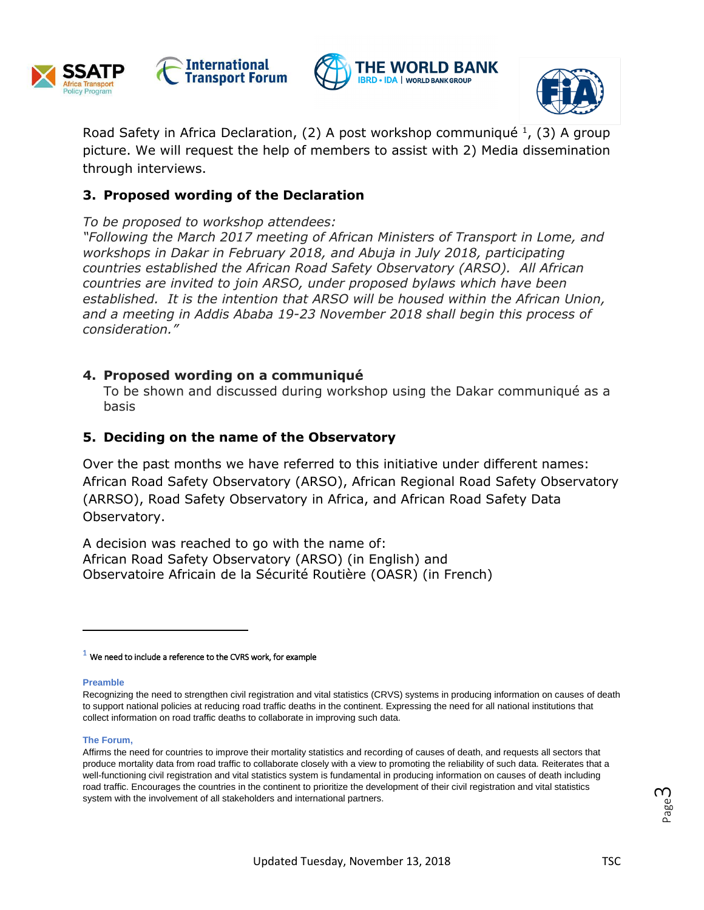







Road Safety in Africa Declaration, (2) A post workshop communiqué  $^1$ , (3) A group picture. We will request the help of members to assist with 2) Media dissemination through interviews.

### **3. Proposed wording of the Declaration**

*To be proposed to workshop attendees:*

*"Following the March 2017 meeting of African Ministers of Transport in Lome, and workshops in Dakar in February 2018, and Abuja in July 2018, participating countries established the African Road Safety Observatory (ARSO). All African countries are invited to join ARSO, under proposed bylaws which have been established. It is the intention that ARSO will be housed within the African Union, and a meeting in Addis Ababa 19-23 November 2018 shall begin this process of consideration."*

#### **4. Proposed wording on a communiqué**

To be shown and discussed during workshop using the Dakar communiqué as a basis

### **5. Deciding on the name of the Observatory**

Over the past months we have referred to this initiative under different names: African Road Safety Observatory (ARSO), African Regional Road Safety Observatory (ARRSO), Road Safety Observatory in Africa, and African Road Safety Data Observatory.

A decision was reached to go with the name of: African Road Safety Observatory (ARSO) (in English) and Observatoire Africain de la Sécurité Routière (OASR) (in French)

l

**The Forum,**

 $^{\rm 1}$  We need to include a reference to the CVRS work, for example

**Preamble**

Recognizing the need to strengthen civil registration and vital statistics (CRVS) systems in producing information on causes of death to support national policies at reducing road traffic deaths in the continent. Expressing the need for all national institutions that collect information on road traffic deaths to collaborate in improving such data.

Affirms the need for countries to improve their mortality statistics and recording of causes of death, and requests all sectors that produce mortality data from road traffic to collaborate closely with a view to promoting the reliability of such data. Reiterates that a well-functioning civil registration and vital statistics system is fundamental in producing information on causes of death including road traffic. Encourages the countries in the continent to prioritize the development of their civil registration and vital statistics system with the involvement of all stakeholders and international partners.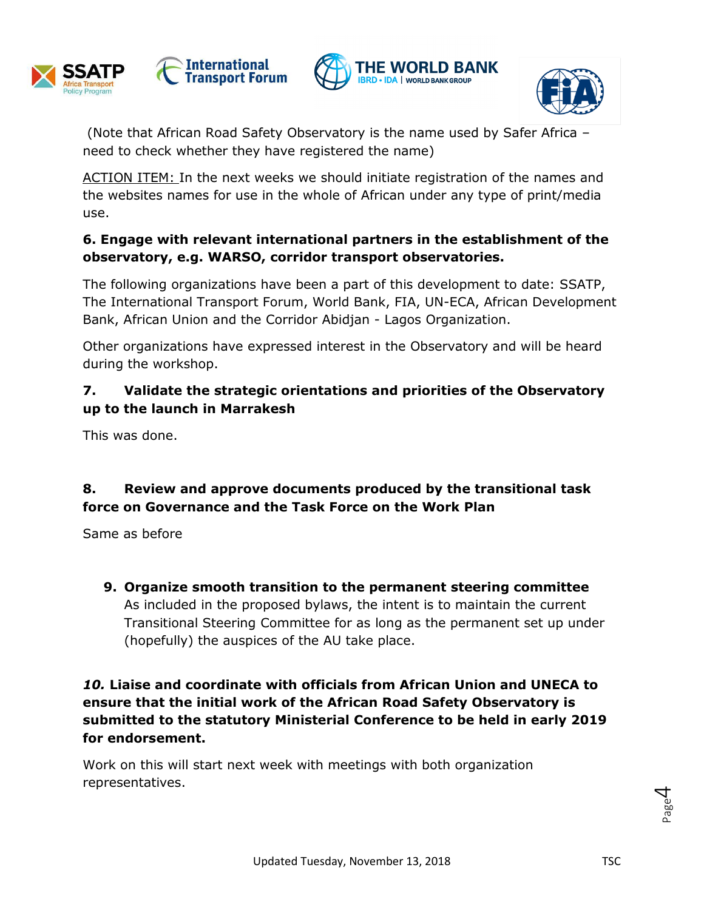







(Note that African Road Safety Observatory is the name used by Safer Africa – need to check whether they have registered the name)

ACTION ITEM: In the next weeks we should initiate registration of the names and the websites names for use in the whole of African under any type of print/media use.

## **6. Engage with relevant international partners in the establishment of the observatory, e.g. WARSO, corridor transport observatories.**

The following organizations have been a part of this development to date: SSATP, The International Transport Forum, World Bank, FIA, UN-ECA, African Development Bank, African Union and the Corridor Abidjan - Lagos Organization.

Other organizations have expressed interest in the Observatory and will be heard during the workshop.

# **7. Validate the strategic orientations and priorities of the Observatory up to the launch in Marrakesh**

This was done.

# **8. Review and approve documents produced by the transitional task force on Governance and the Task Force on the Work Plan**

Same as before

**9. Organize smooth transition to the permanent steering committee** As included in the proposed bylaws, the intent is to maintain the current Transitional Steering Committee for as long as the permanent set up under (hopefully) the auspices of the AU take place.

# *10.* **Liaise and coordinate with officials from African Union and UNECA to ensure that the initial work of the African Road Safety Observatory is submitted to the statutory Ministerial Conference to be held in early 2019 for endorsement.**

Work on this will start next week with meetings with both organization representatives.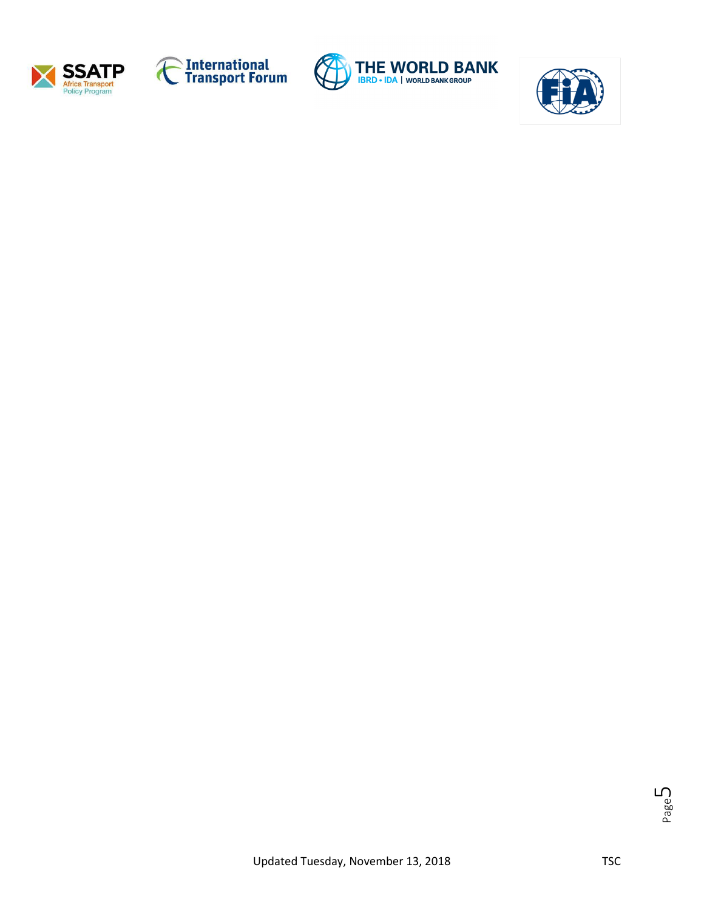





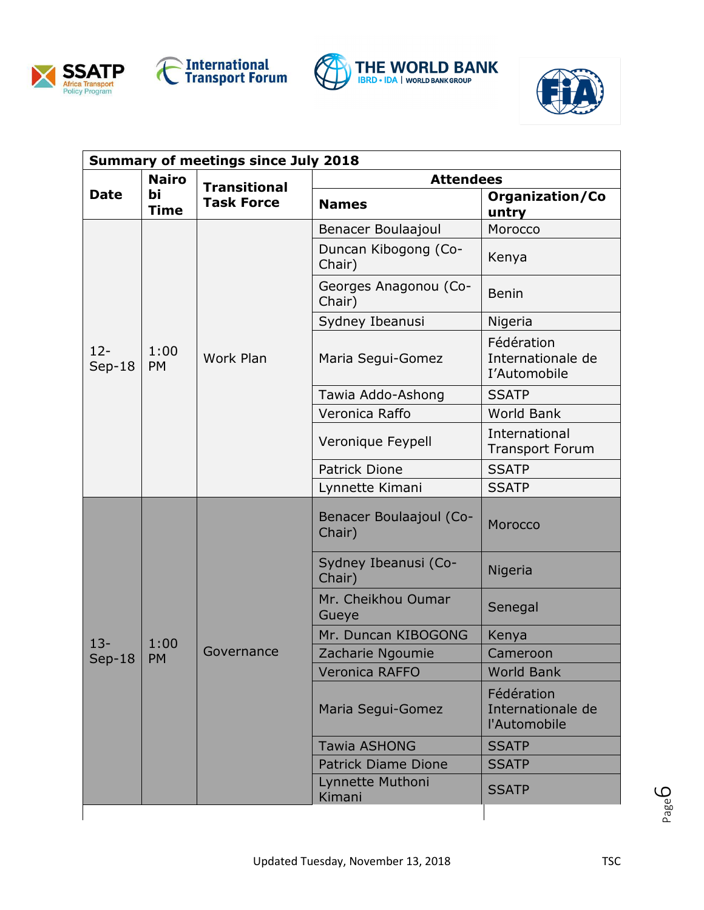







| <b>Date</b>        | <b>Nairo</b><br>bi<br><b>Time</b> | <b>Transitional</b><br><b>Task Force</b> | <b>Attendees</b>                  |                                                 |
|--------------------|-----------------------------------|------------------------------------------|-----------------------------------|-------------------------------------------------|
|                    |                                   |                                          | <b>Names</b>                      | Organization/Co<br>untry                        |
| $12 -$<br>$Sep-18$ | 1:00<br><b>PM</b>                 | <b>Work Plan</b>                         | Benacer Boulaajoul                | Morocco                                         |
|                    |                                   |                                          | Duncan Kibogong (Co-<br>Chair)    | Kenya                                           |
|                    |                                   |                                          | Georges Anagonou (Co-<br>Chair)   | <b>Benin</b>                                    |
|                    |                                   |                                          | Sydney Ibeanusi                   | Nigeria                                         |
|                    |                                   |                                          | Maria Segui-Gomez                 | Fédération<br>Internationale de<br>I'Automobile |
|                    |                                   |                                          | Tawia Addo-Ashong                 | <b>SSATP</b>                                    |
|                    |                                   |                                          | Veronica Raffo                    | <b>World Bank</b>                               |
|                    |                                   |                                          | Veronique Feypell                 | International<br><b>Transport Forum</b>         |
|                    |                                   |                                          | <b>Patrick Dione</b>              | <b>SSATP</b>                                    |
|                    |                                   |                                          | Lynnette Kimani                   | <b>SSATP</b>                                    |
| $13 -$<br>Sep-18   | 1:00<br><b>PM</b>                 | Governance                               | Benacer Boulaajoul (Co-<br>Chair) | Morocco                                         |
|                    |                                   |                                          | Sydney Ibeanusi (Co-<br>Chair)    | Nigeria                                         |
|                    |                                   |                                          | Mr. Cheikhou Oumar<br>Gueye       | Senegal                                         |
|                    |                                   |                                          | Mr. Duncan KIBOGONG               | Kenya                                           |
|                    |                                   |                                          | Zacharie Ngoumie                  | Cameroon                                        |
|                    |                                   |                                          | Veronica RAFFO                    | <b>World Bank</b>                               |
|                    |                                   |                                          | Maria Segui-Gomez                 | Fédération<br>Internationale de<br>l'Automobile |
|                    |                                   |                                          | <b>Tawia ASHONG</b>               | <b>SSATP</b>                                    |
|                    |                                   |                                          | <b>Patrick Diame Dione</b>        | <b>SSATP</b>                                    |
|                    |                                   |                                          | Lynnette Muthoni<br>Kimani        | <b>SSATP</b>                                    |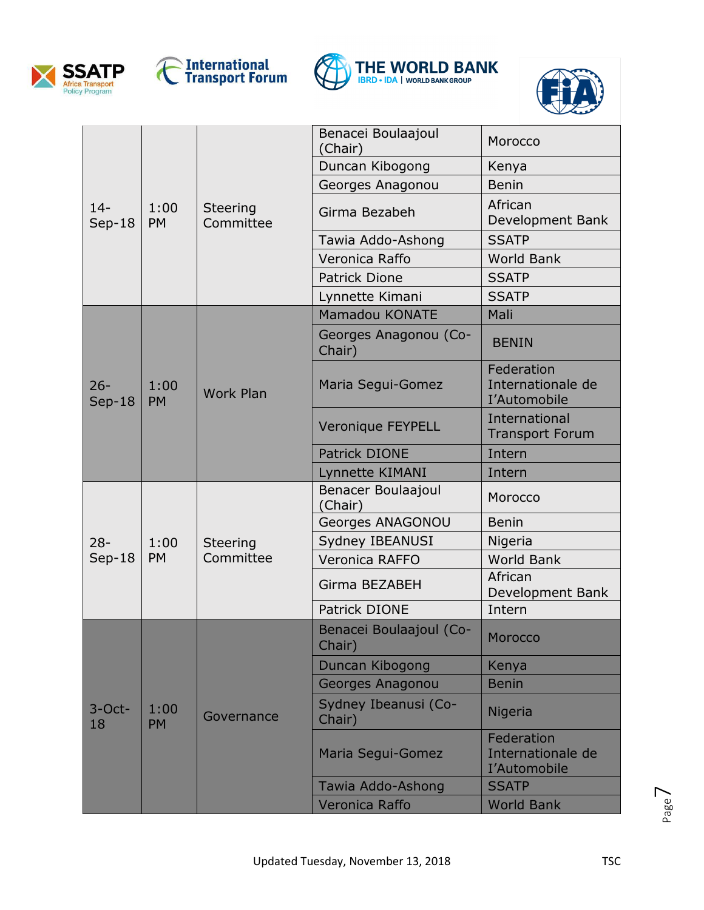

 $\mathbf{r}$ 

 $\overline{\phantom{a}}$ 







| $14 -$<br>$Sep-18$ | 1:00<br>PM        | Steering<br>Committee | Benacei Boulaajoul<br>(Chair)     | Morocco                                         |
|--------------------|-------------------|-----------------------|-----------------------------------|-------------------------------------------------|
|                    |                   |                       | Duncan Kibogong                   | Kenya                                           |
|                    |                   |                       | Georges Anagonou                  | <b>Benin</b>                                    |
|                    |                   |                       | Girma Bezabeh                     | African<br>Development Bank                     |
|                    |                   |                       | Tawia Addo-Ashong                 | <b>SSATP</b>                                    |
|                    |                   |                       | Veronica Raffo                    | <b>World Bank</b>                               |
|                    |                   |                       | <b>Patrick Dione</b>              | <b>SSATP</b>                                    |
|                    |                   |                       | Lynnette Kimani                   | <b>SSATP</b>                                    |
|                    |                   | <b>Work Plan</b>      | <b>Mamadou KONATE</b>             | Mali                                            |
| $26 -$<br>Sep-18   | 1:00<br><b>PM</b> |                       | Georges Anagonou (Co-<br>Chair)   | <b>BENIN</b>                                    |
|                    |                   |                       | Maria Segui-Gomez                 | Federation<br>Internationale de<br>I'Automobile |
|                    |                   |                       | Veronique FEYPELL                 | <b>International</b><br><b>Transport Forum</b>  |
|                    |                   |                       | <b>Patrick DIONE</b>              | Intern                                          |
|                    |                   |                       | Lynnette KIMANI                   | Intern                                          |
| $28 -$<br>$Sep-18$ | 1:00              | Steering              | Benacer Boulaajoul<br>(Chair)     | Morocco                                         |
|                    |                   |                       | Georges ANAGONOU                  | <b>Benin</b>                                    |
|                    |                   |                       |                                   |                                                 |
|                    |                   |                       | Sydney IBEANUSI                   | Nigeria                                         |
|                    | <b>PM</b>         | Committee             | Veronica RAFFO                    | <b>World Bank</b>                               |
|                    |                   |                       | Girma BEZABEH                     | African<br>Development Bank                     |
|                    |                   |                       | Patrick DIONE                     | Intern                                          |
|                    |                   |                       | Benacei Boulaajoul (Co-<br>Chair) | Morocco                                         |
|                    |                   |                       | Duncan Kibogong                   | Kenya                                           |
|                    |                   |                       | Georges Anagonou                  | <b>Benin</b>                                    |
| $3-Oct-$           | 1:00              | Governance            | Sydney Ibeanusi (Co-<br>Chair)    | Nigeria                                         |
| 18                 | <b>PM</b>         |                       | Maria Segui-Gomez                 | Federation<br>Internationale de<br>I'Automobile |
|                    |                   |                       | Tawia Addo-Ashong                 | <b>SSATP</b>                                    |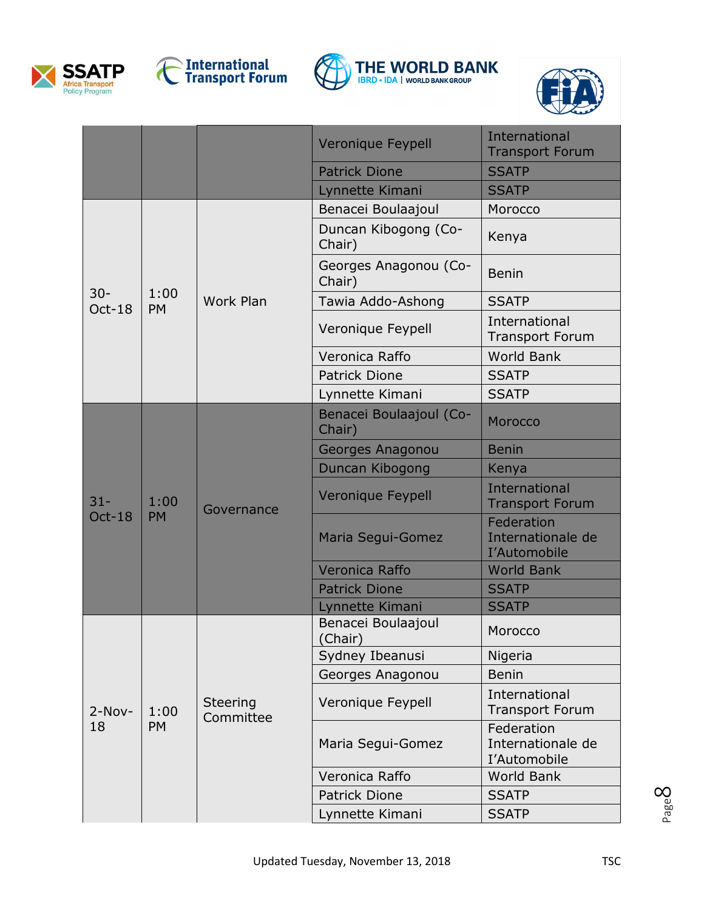







|                         |                   |                       | <b>Veronique Feypell</b>          | <b>International</b><br><b>Transport Forum</b>  |
|-------------------------|-------------------|-----------------------|-----------------------------------|-------------------------------------------------|
|                         |                   |                       | <b>Patrick Dione</b>              | <b>SSATP</b>                                    |
|                         |                   |                       | Lynnette Kimani                   | <b>SSATP</b>                                    |
|                         | 1:00<br>PM        |                       | Benacei Boulaajoul                | Morocco                                         |
| $30 -$<br>Oct-18        |                   | <b>Work Plan</b>      | Duncan Kibogong (Co-<br>Chair)    | Kenya                                           |
|                         |                   |                       | Georges Anagonou (Co-<br>Chair)   | <b>Benin</b>                                    |
|                         |                   |                       | Tawia Addo-Ashong                 | <b>SSATP</b>                                    |
|                         |                   |                       | Veronique Feypell                 | International<br><b>Transport Forum</b>         |
|                         |                   |                       | Veronica Raffo                    | <b>World Bank</b>                               |
|                         |                   |                       | <b>Patrick Dione</b>              | <b>SSATP</b>                                    |
|                         |                   |                       | Lynnette Kimani                   | <b>SSATP</b>                                    |
| $31 -$<br><b>Oct-18</b> | 1:00<br><b>PM</b> | Governance            | Benacei Boulaajoul (Co-<br>Chair) | Morocco                                         |
|                         |                   |                       | Georges Anagonou                  | <b>Benin</b>                                    |
|                         |                   |                       | Duncan Kibogong                   | Kenya                                           |
|                         |                   |                       | Veronique Feypell                 | <b>International</b><br><b>Transport Forum</b>  |
|                         |                   |                       | Maria Segui-Gomez                 | Federation<br>Internationale de<br>I'Automobile |
|                         |                   |                       | Veronica Raffo                    | <b>World Bank</b>                               |
|                         |                   |                       | <b>Patrick Dione</b>              | <b>SSATP</b>                                    |
|                         |                   |                       | Lynnette Kimani                   | <b>SSATP</b>                                    |
| $2-Nov-$<br>18          | 1:00<br>PM        | Steering<br>Committee | Benacei Boulaajoul<br>(Chair)     | Morocco                                         |
|                         |                   |                       | Sydney Ibeanusi                   | Nigeria                                         |
|                         |                   |                       | Georges Anagonou                  | <b>Benin</b>                                    |
|                         |                   |                       | Veronique Feypell                 | International<br><b>Transport Forum</b>         |
|                         |                   |                       | Maria Segui-Gomez                 | Federation<br>Internationale de<br>I'Automobile |
|                         |                   |                       | Veronica Raffo                    | <b>World Bank</b>                               |
|                         |                   |                       | <b>Patrick Dione</b>              | <b>SSATP</b>                                    |
|                         |                   |                       | Lynnette Kimani                   | <b>SSATP</b>                                    |